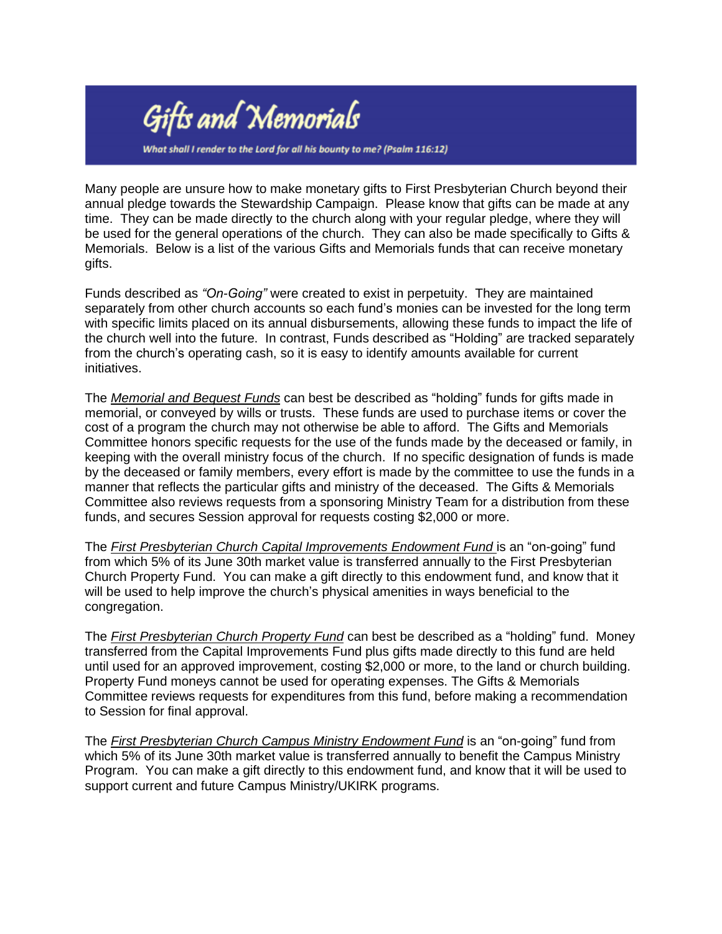

What shall I render to the Lord for all his bounty to me? (Psalm 116:12)

Many people are unsure how to make monetary gifts to First Presbyterian Church beyond their annual pledge towards the Stewardship Campaign. Please know that gifts can be made at any time. They can be made directly to the church along with your regular pledge, where they will be used for the general operations of the church. They can also be made specifically to Gifts & Memorials. Below is a list of the various Gifts and Memorials funds that can receive monetary gifts.

Funds described as *"On-Going"* were created to exist in perpetuity. They are maintained separately from other church accounts so each fund's monies can be invested for the long term with specific limits placed on its annual disbursements, allowing these funds to impact the life of the church well into the future. In contrast, Funds described as "Holding" are tracked separately from the church's operating cash, so it is easy to identify amounts available for current initiatives.

The *Memorial and Bequest Funds* can best be described as "holding" funds for gifts made in memorial, or conveyed by wills or trusts. These funds are used to purchase items or cover the cost of a program the church may not otherwise be able to afford. The Gifts and Memorials Committee honors specific requests for the use of the funds made by the deceased or family, in keeping with the overall ministry focus of the church. If no specific designation of funds is made by the deceased or family members, every effort is made by the committee to use the funds in a manner that reflects the particular gifts and ministry of the deceased. The Gifts & Memorials Committee also reviews requests from a sponsoring Ministry Team for a distribution from these funds, and secures Session approval for requests costing \$2,000 or more.

The *First Presbyterian Church Capital Improvements Endowment Fund* is an "on-going" fund from which 5% of its June 30th market value is transferred annually to the First Presbyterian Church Property Fund. You can make a gift directly to this endowment fund, and know that it will be used to help improve the church's physical amenities in ways beneficial to the congregation.

The *First Presbyterian Church Property Fund* can best be described as a "holding" fund. Money transferred from the Capital Improvements Fund plus gifts made directly to this fund are held until used for an approved improvement, costing \$2,000 or more, to the land or church building. Property Fund moneys cannot be used for operating expenses. The Gifts & Memorials Committee reviews requests for expenditures from this fund, before making a recommendation to Session for final approval.

The *First Presbyterian Church Campus Ministry Endowment Fund* is an "on-going" fund from which 5% of its June 30th market value is transferred annually to benefit the Campus Ministry Program. You can make a gift directly to this endowment fund, and know that it will be used to support current and future Campus Ministry/UKIRK programs.